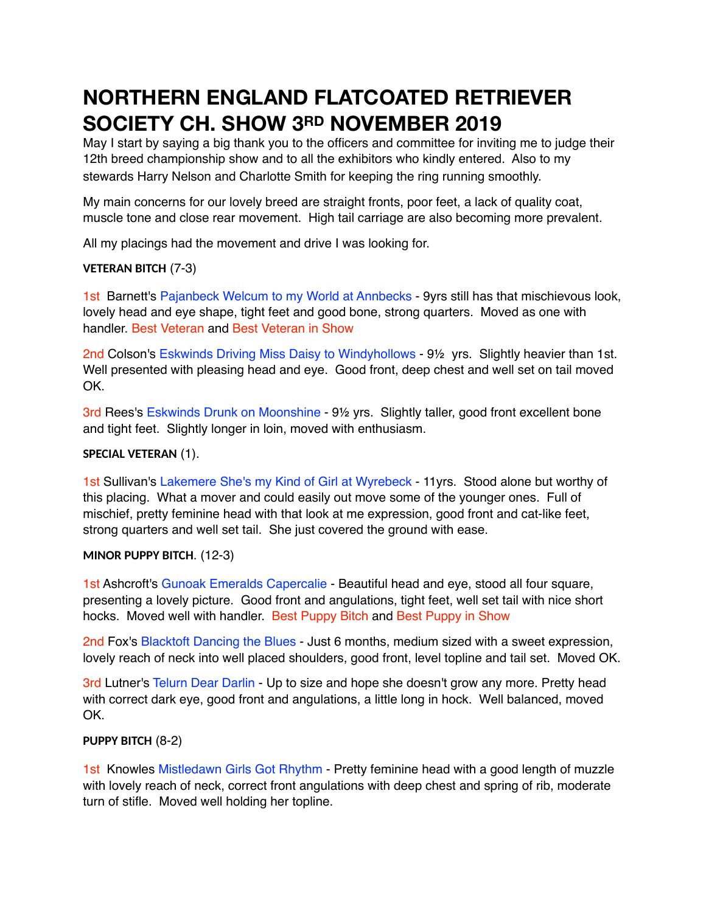# **NORTHERN ENGLAND FLATCOATED RETRIEVER SOCIETY CH. SHOW 3RD NOVEMBER 2019**

May I start by saying a big thank you to the officers and committee for inviting me to judge their 12th breed championship show and to all the exhibitors who kindly entered. Also to my stewards Harry Nelson and Charlotte Smith for keeping the ring running smoothly.

My main concerns for our lovely breed are straight fronts, poor feet, a lack of quality coat, muscle tone and close rear movement. High tail carriage are also becoming more prevalent.

All my placings had the movement and drive I was looking for.

## **VETERAN BITCH** (7-3)

1st Barnett's Pajanbeck Welcum to my World at Annbecks - 9yrs still has that mischievous look, lovely head and eye shape, tight feet and good bone, strong quarters. Moved as one with handler. Best Veteran and Best Veteran in Show

2nd Colson's Eskwinds Driving Miss Daisy to Windyhollows - 9<sup>1/2</sup> yrs. Slightly heavier than 1st. Well presented with pleasing head and eye. Good front, deep chest and well set on tail moved OK.

3rd Rees's Eskwinds Drunk on Moonshine - 9½ yrs. Slightly taller, good front excellent bone and tight feet. Slightly longer in loin, moved with enthusiasm.

## **SPECIAL VETERAN** (1).

1st Sullivan's Lakemere She's my Kind of Girl at Wyrebeck - 11yrs. Stood alone but worthy of this placing. What a mover and could easily out move some of the younger ones. Full of mischief, pretty feminine head with that look at me expression, good front and cat-like feet, strong quarters and well set tail. She just covered the ground with ease.

#### **MINOR PUPPY BITCH**. (12-3)

1st Ashcroft's Gunoak Emeralds Capercalie - Beautiful head and eye, stood all four square, presenting a lovely picture. Good front and angulations, tight feet, well set tail with nice short hocks. Moved well with handler. Best Puppy Bitch and Best Puppy in Show

2nd Fox's Blacktoft Dancing the Blues - Just 6 months, medium sized with a sweet expression, lovely reach of neck into well placed shoulders, good front, level topline and tail set. Moved OK.

3rd Lutner's Telurn Dear Darlin - Up to size and hope she doesn't grow any more. Pretty head with correct dark eye, good front and angulations, a little long in hock. Well balanced, moved OK.

# **PUPPY BITCH** (8-2)

1st Knowles Mistledawn Girls Got Rhythm - Pretty feminine head with a good length of muzzle with lovely reach of neck, correct front angulations with deep chest and spring of rib, moderate turn of stifle. Moved well holding her topline.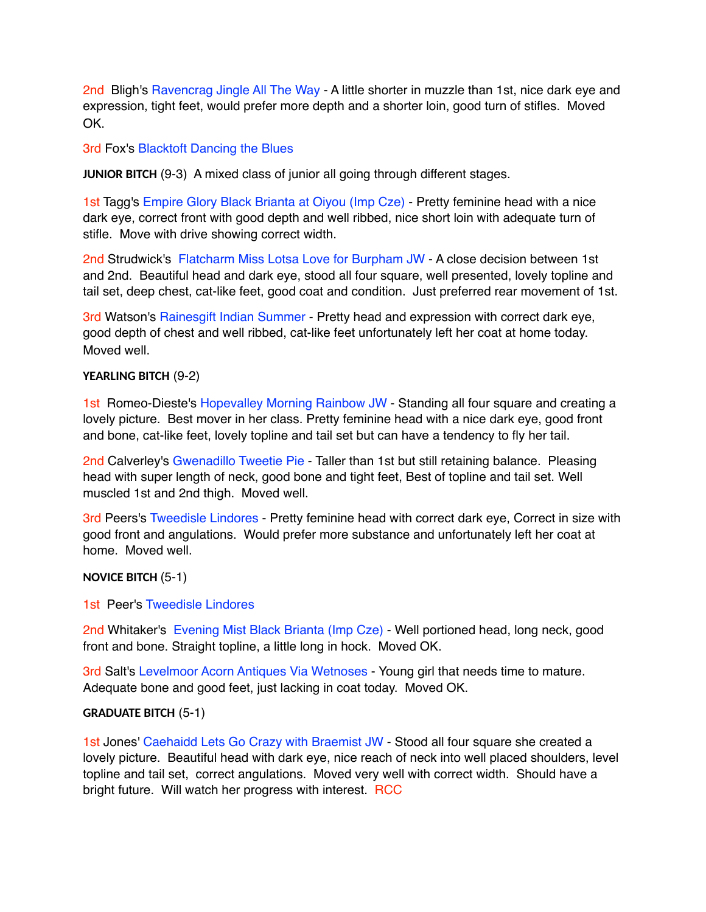2nd Bligh's Ravencrag Jingle All The Way - A little shorter in muzzle than 1st, nice dark eye and expression, tight feet, would prefer more depth and a shorter loin, good turn of stifles. Moved OK.

## 3rd Fox's Blacktoft Dancing the Blues

**JUNIOR BITCH** (9-3) A mixed class of junior all going through different stages.

1st Tagg's Empire Glory Black Brianta at Oiyou (Imp Cze) - Pretty feminine head with a nice dark eye, correct front with good depth and well ribbed, nice short loin with adequate turn of stifle. Move with drive showing correct width.

2nd Strudwick's Flatcharm Miss Lotsa Love for Burpham JW - A close decision between 1st and 2nd. Beautiful head and dark eye, stood all four square, well presented, lovely topline and tail set, deep chest, cat-like feet, good coat and condition. Just preferred rear movement of 1st.

3rd Watson's Rainesgift Indian Summer - Pretty head and expression with correct dark eye, good depth of chest and well ribbed, cat-like feet unfortunately left her coat at home today. Moved well.

#### **YEARLING BITCH** (9-2)

1st Romeo-Dieste's Hopevalley Morning Rainbow JW - Standing all four square and creating a lovely picture. Best mover in her class. Pretty feminine head with a nice dark eye, good front and bone, cat-like feet, lovely topline and tail set but can have a tendency to fly her tail.

2nd Calverley's Gwenadillo Tweetie Pie - Taller than 1st but still retaining balance. Pleasing head with super length of neck, good bone and tight feet, Best of topline and tail set. Well muscled 1st and 2nd thigh. Moved well.

3rd Peers's Tweedisle Lindores - Pretty feminine head with correct dark eye, Correct in size with good front and angulations. Would prefer more substance and unfortunately left her coat at home. Moved well.

#### **NOVICE BITCH** (5-1)

#### 1st Peer's Tweedisle Lindores

2nd Whitaker's Evening Mist Black Brianta (Imp Cze) - Well portioned head, long neck, good front and bone. Straight topline, a little long in hock. Moved OK.

3rd Salt's Levelmoor Acorn Antiques Via Wetnoses - Young girl that needs time to mature. Adequate bone and good feet, just lacking in coat today. Moved OK.

#### **GRADUATE BITCH** (5-1)

1st Jones' Caehaidd Lets Go Crazy with Braemist JW - Stood all four square she created a lovely picture. Beautiful head with dark eye, nice reach of neck into well placed shoulders, level topline and tail set, correct angulations. Moved very well with correct width. Should have a bright future. Will watch her progress with interest. RCC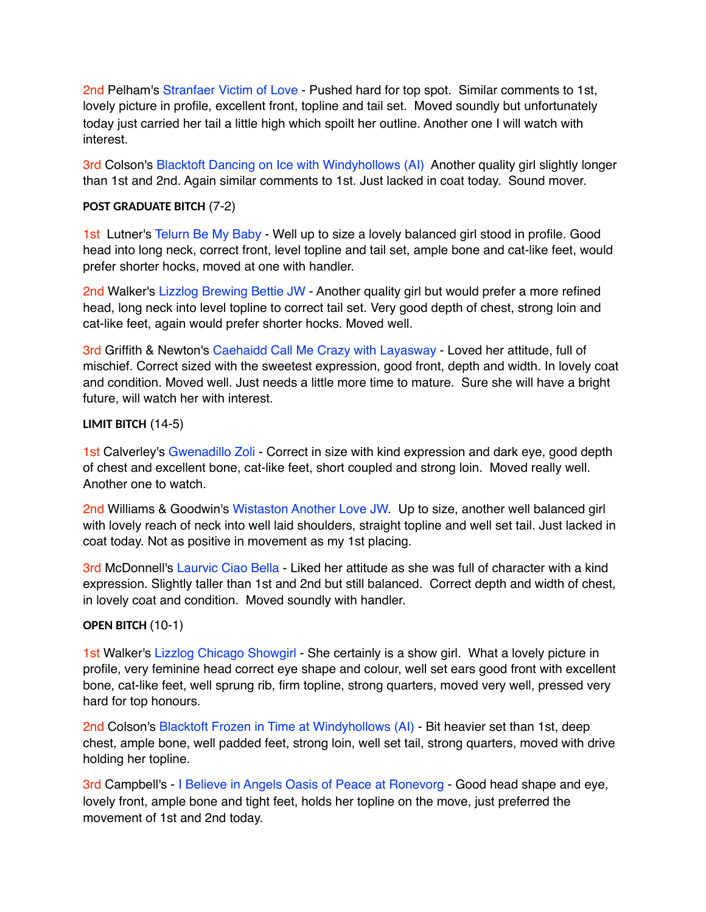2nd Pelham's Stranfaer Victim of Love - Pushed hard for top spot. Similar comments to 1st, lovely picture in profile, excellent front, topline and tail set. Moved soundly but unfortunately today just carried her tail a little high which spoilt her outline. Another one I will watch with interest.

3rd Colson's Blacktoft Dancing on Ice with Windyhollows (AI) Another quality girl slightly longer than 1st and 2nd. Again similar comments to 1st. Just lacked in coat today. Sound mover.

# **POST GRADUATE BITCH** (7-2)

1st Lutner's Telurn Be My Baby - Well up to size a lovely balanced girl stood in profile. Good head into long neck, correct front, level topline and tail set, ample bone and cat-like feet, would prefer shorter hocks, moved at one with handler.

2nd Walker's Lizzlog Brewing Bettie JW - Another quality girl but would prefer a more refined head, long neck into level topline to correct tail set. Very good depth of chest, strong loin and cat-like feet, again would prefer shorter hocks. Moved well.

3rd Griffith & Newton's Caehaidd Call Me Crazy with Layasway - Loved her attitude, full of mischief. Correct sized with the sweetest expression, good front, depth and width. In lovely coat and condition. Moved well. Just needs a little more time to mature. Sure she will have a bright future, will watch her with interest.

## **LIMIT BITCH** (14-5)

1st Calverley's Gwenadillo Zoli - Correct in size with kind expression and dark eye, good depth of chest and excellent bone, cat-like feet, short coupled and strong loin. Moved really well. Another one to watch.

2nd Williams & Goodwin's Wistaston Another Love JW. Up to size, another well balanced girl with lovely reach of neck into well laid shoulders, straight topline and well set tail. Just lacked in coat today. Not as positive in movement as my 1st placing.

3rd McDonnell's Laurvic Ciao Bella - Liked her attitude as she was full of character with a kind expression. Slightly taller than 1st and 2nd but still balanced. Correct depth and width of chest, in lovely coat and condition. Moved soundly with handler.

#### **OPEN BITCH** (10-1)

1st Walker's Lizzlog Chicago Showgirl - She certainly is a show girl. What a lovely picture in profile, very feminine head correct eye shape and colour, well set ears good front with excellent bone, cat-like feet, well sprung rib, firm topline, strong quarters, moved very well, pressed very hard for top honours.

2nd Colson's Blacktoft Frozen in Time at Windyhollows (AI) - Bit heavier set than 1st, deep chest, ample bone, well padded feet, strong loin, well set tail, strong quarters, moved with drive holding her topline.

3rd Campbell's - I Believe in Angels Oasis of Peace at Ronevorg - Good head shape and eye, lovely front, ample bone and tight feet, holds her topline on the move, just preferred the movement of 1st and 2nd today.